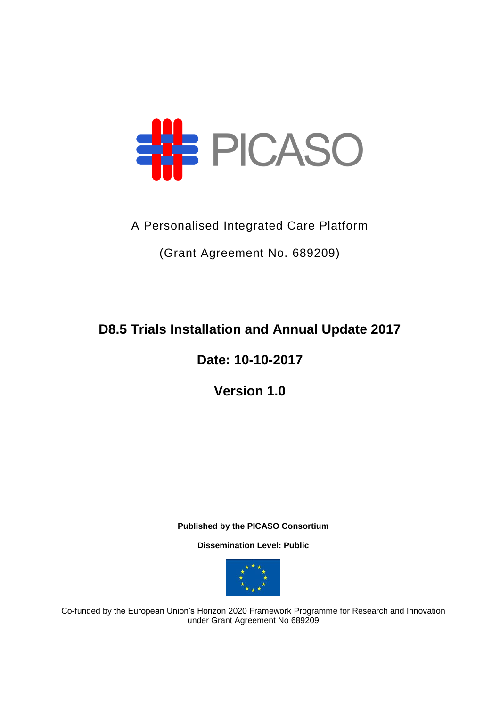

A Personalised Integrated Care Platform

(Grant Agreement No. 689209)

**D8.5 Trials Installation and Annual Update 2017**

**Date: 10-10-2017**

**Version 1.0**

**Published by the PICASO Consortium** 

**Dissemination Level: Public**



Co-funded by the European Union's Horizon 2020 Framework Programme for Research and Innovation under Grant Agreement No 689209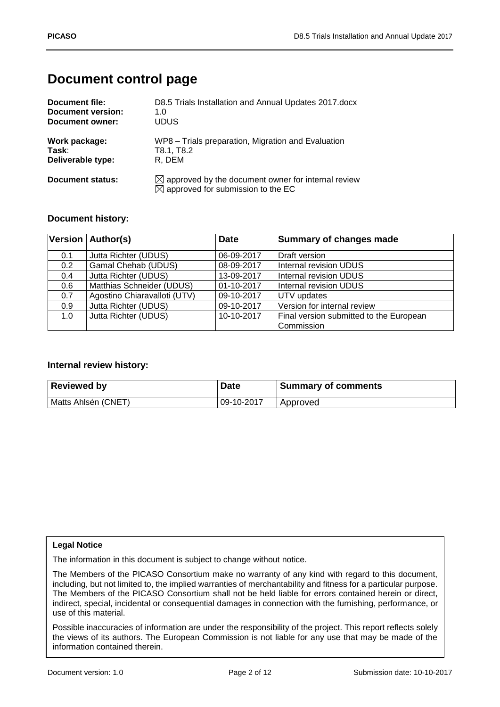# **Document control page**

| Document file:          | D8.5 Trials Installation and Annual Updates 2017.docx                                                           |
|-------------------------|-----------------------------------------------------------------------------------------------------------------|
| Document version:       | 1. $\Omega$                                                                                                     |
| Document owner:         | <b>UDUS</b>                                                                                                     |
| Work package:           | WP8 - Trials preparation, Migration and Evaluation                                                              |
| Task:                   | T8.1, T8.2                                                                                                      |
| Deliverable type:       | R. DEM                                                                                                          |
| <b>Document status:</b> | $\boxtimes$ approved by the document owner for internal review<br>$\boxtimes$ approved for submission to the EC |

### **Document history:**

|               | Version   Author(s)          | <b>Date</b> | Summary of changes made                 |
|---------------|------------------------------|-------------|-----------------------------------------|
| 0.1           | Jutta Richter (UDUS)         | 06-09-2017  | Draft version                           |
| 0.2           | <b>Gamal Chehab (UDUS)</b>   | 08-09-2017  | <b>Internal revision UDUS</b>           |
| $0.4^{\circ}$ | Jutta Richter (UDUS)         | 13-09-2017  | <b>Internal revision UDUS</b>           |
| 0.6           | Matthias Schneider (UDUS)    | 01-10-2017  | Internal revision UDUS                  |
| 0.7           | Agostino Chiaravalloti (UTV) | 09-10-2017  | UTV updates                             |
| 0.9           | Jutta Richter (UDUS)         | 09-10-2017  | Version for internal review             |
| 1.0           | Jutta Richter (UDUS)         | 10-10-2017  | Final version submitted to the European |
|               |                              |             | Commission                              |

#### **Internal review history:**

| <b>Reviewed by</b>  | <b>Date</b> | <b>Summary of comments</b> |
|---------------------|-------------|----------------------------|
| Matts Ahlsén (CNET) | 09-10-2017  | Approved                   |

#### **Legal Notice**

The information in this document is subject to change without notice.

The Members of the PICASO Consortium make no warranty of any kind with regard to this document, including, but not limited to, the implied warranties of merchantability and fitness for a particular purpose. The Members of the PICASO Consortium shall not be held liable for errors contained herein or direct, indirect, special, incidental or consequential damages in connection with the furnishing, performance, or use of this material.

Possible inaccuracies of information are under the responsibility of the project. This report reflects solely the views of its authors. The European Commission is not liable for any use that may be made of the information contained therein.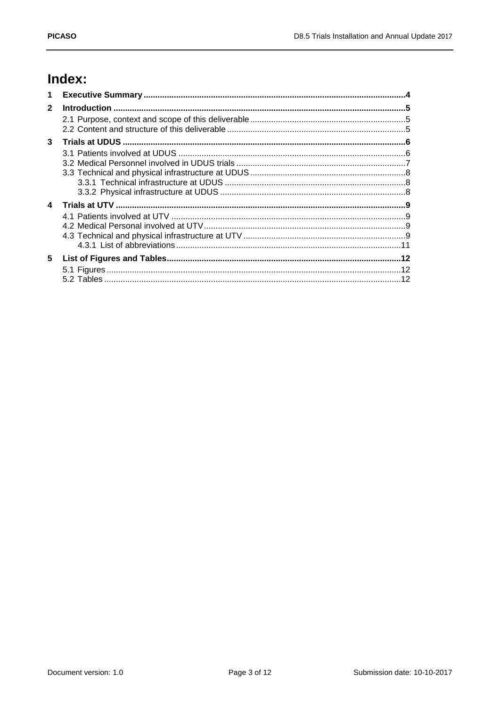# Index:

| $\mathbf 1$  |  |
|--------------|--|
| $\mathbf{2}$ |  |
|              |  |
| 3            |  |
|              |  |
|              |  |
|              |  |
|              |  |
| 4            |  |
|              |  |
|              |  |
|              |  |
|              |  |
| 5            |  |
|              |  |
|              |  |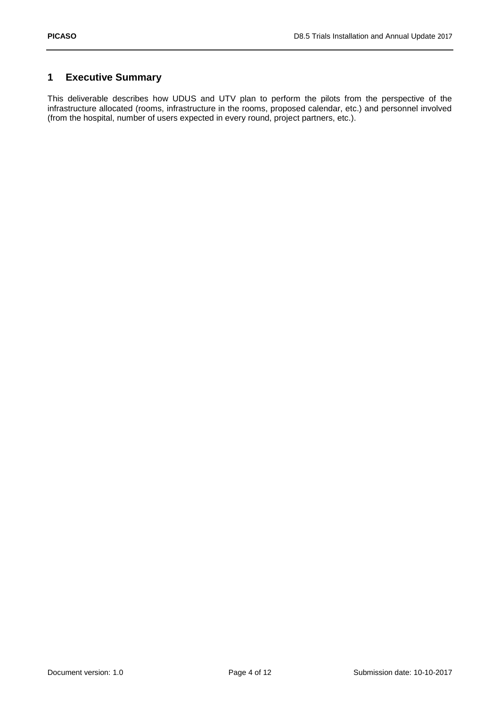## <span id="page-3-0"></span>**1 Executive Summary**

This deliverable describes how UDUS and UTV plan to perform the pilots from the perspective of the infrastructure allocated (rooms, infrastructure in the rooms, proposed calendar, etc.) and personnel involved (from the hospital, number of users expected in every round, project partners, etc.).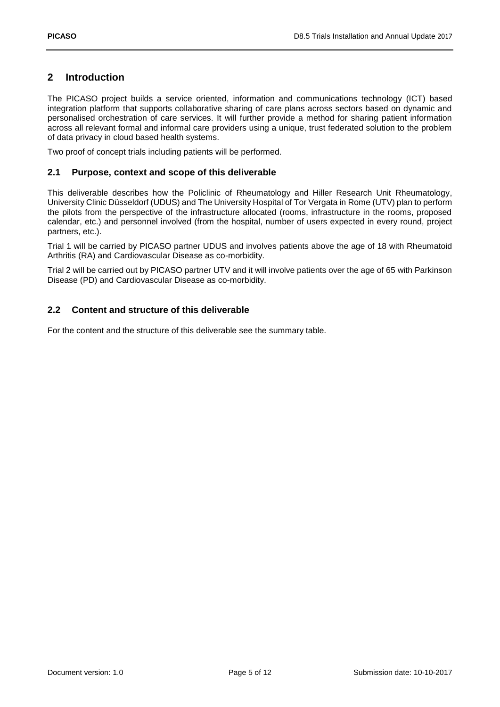## <span id="page-4-0"></span>**2 Introduction**

The PICASO project builds a service oriented, information and communications technology (ICT) based integration platform that supports collaborative sharing of care plans across sectors based on dynamic and personalised orchestration of care services. It will further provide a method for sharing patient information across all relevant formal and informal care providers using a unique, trust federated solution to the problem of data privacy in cloud based health systems.

Two proof of concept trials including patients will be performed.

#### <span id="page-4-1"></span>**2.1 Purpose, context and scope of this deliverable**

This deliverable describes how the Policlinic of Rheumatology and Hiller Research Unit Rheumatology, University Clinic Düsseldorf (UDUS) and The University Hospital of Tor Vergata in Rome (UTV) plan to perform the pilots from the perspective of the infrastructure allocated (rooms, infrastructure in the rooms, proposed calendar, etc.) and personnel involved (from the hospital, number of users expected in every round, project partners, etc.).

Trial 1 will be carried by PICASO partner UDUS and involves patients above the age of 18 with Rheumatoid Arthritis (RA) and Cardiovascular Disease as co-morbidity.

Trial 2 will be carried out by PICASO partner UTV and it will involve patients over the age of 65 with Parkinson Disease (PD) and Cardiovascular Disease as co-morbidity.

### <span id="page-4-2"></span>**2.2 Content and structure of this deliverable**

For the content and the structure of this deliverable see the summary table.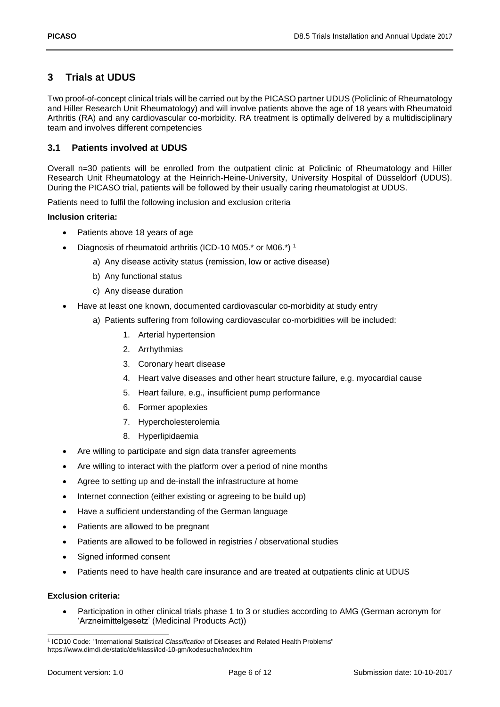## <span id="page-5-0"></span>**3 Trials at UDUS**

Two proof-of-concept clinical trials will be carried out by the PICASO partner UDUS (Policlinic of Rheumatology and Hiller Research Unit Rheumatology) and will involve patients above the age of 18 years with Rheumatoid Arthritis (RA) and any cardiovascular co-morbidity. RA treatment is optimally delivered by a multidisciplinary team and involves different competencies

### <span id="page-5-1"></span>**3.1 Patients involved at UDUS**

Overall n=30 patients will be enrolled from the outpatient clinic at Policlinic of Rheumatology and Hiller Research Unit Rheumatology at the Heinrich-Heine-University, University Hospital of Düsseldorf (UDUS). During the PICASO trial, patients will be followed by their usually caring rheumatologist at UDUS.

Patients need to fulfil the following inclusion and exclusion criteria

#### **Inclusion criteria:**

- Patients above 18 years of age
- Diagnosis of rheumatoid arthritis (ICD-10 M05.\* or M06.\*)<sup>1</sup>
	- a) Any disease activity status (remission, low or active disease)
	- b) Any functional status
	- c) Any disease duration
- Have at least one known, documented cardiovascular co-morbidity at study entry
	- a) Patients suffering from following cardiovascular co-morbidities will be included:
		- 1. Arterial hypertension
		- 2. Arrhythmias
		- 3. Coronary heart disease
		- 4. Heart valve diseases and other heart structure failure, e.g. myocardial cause
		- 5. Heart failure, e.g., insufficient pump performance
		- 6. Former apoplexies
		- 7. Hypercholesterolemia
		- 8. Hyperlipidaemia
- Are willing to participate and sign data transfer agreements
- Are willing to interact with the platform over a period of nine months
- Agree to setting up and de-install the infrastructure at home
- Internet connection (either existing or agreeing to be build up)
- Have a sufficient understanding of the German language
- Patients are allowed to be pregnant
- Patients are allowed to be followed in registries / observational studies
- Signed informed consent
- Patients need to have health care insurance and are treated at outpatients clinic at UDUS

#### **Exclusion criteria:**

 Participation in other clinical trials phase 1 to 3 or studies according to AMG (German acronym for 'Arzneimittelgesetz' (Medicinal Products Act))

<sup>-</sup>1 ICD10 Code: "International Statistical *Classification* of Diseases and Related Health Problems" https://www.dimdi.de/static/de/klassi/icd-10-gm/kodesuche/index.htm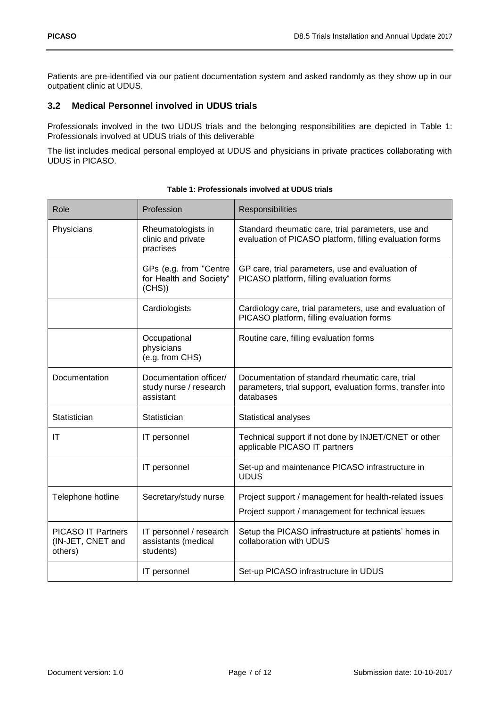Patients are pre-identified via our patient documentation system and asked randomly as they show up in our outpatient clinic at UDUS.

## <span id="page-6-0"></span>**3.2 Medical Personnel involved in UDUS trials**

Professionals involved in the two UDUS trials and the belonging responsibilities are depicted in [Table 1:](#page-6-1) [Professionals involved](#page-6-1) at UDUS trials of this deliverable

The list includes medical personal employed at UDUS and physicians in private practices collaborating with UDUS in PICASO.

<span id="page-6-1"></span>

| Role                                                      | Profession                                                    | Responsibilities                                                                                                           |
|-----------------------------------------------------------|---------------------------------------------------------------|----------------------------------------------------------------------------------------------------------------------------|
| Physicians                                                | Rheumatologists in<br>clinic and private<br>practises         | Standard rheumatic care, trial parameters, use and<br>evaluation of PICASO platform, filling evaluation forms              |
|                                                           | GPs (e.g. from "Centre<br>for Health and Society"<br>(CHS)    | GP care, trial parameters, use and evaluation of<br>PICASO platform, filling evaluation forms                              |
|                                                           | Cardiologists                                                 | Cardiology care, trial parameters, use and evaluation of<br>PICASO platform, filling evaluation forms                      |
|                                                           | Occupational<br>physicians<br>(e.g. from CHS)                 | Routine care, filling evaluation forms                                                                                     |
| Documentation                                             | Documentation officer/<br>study nurse / research<br>assistant | Documentation of standard rheumatic care, trial<br>parameters, trial support, evaluation forms, transfer into<br>databases |
| Statistician                                              | Statistician                                                  | Statistical analyses                                                                                                       |
| IT                                                        | IT personnel                                                  | Technical support if not done by INJET/CNET or other<br>applicable PICASO IT partners                                      |
|                                                           | IT personnel                                                  | Set-up and maintenance PICASO infrastructure in<br><b>UDUS</b>                                                             |
| Telephone hotline                                         | Secretary/study nurse                                         | Project support / management for health-related issues<br>Project support / management for technical issues                |
| <b>PICASO IT Partners</b><br>(IN-JET, CNET and<br>others) | IT personnel / research<br>assistants (medical<br>students)   | Setup the PICASO infrastructure at patients' homes in<br>collaboration with UDUS                                           |
|                                                           | IT personnel                                                  | Set-up PICASO infrastructure in UDUS                                                                                       |

| Table 1: Professionals involved at UDUS trials |  |
|------------------------------------------------|--|
|                                                |  |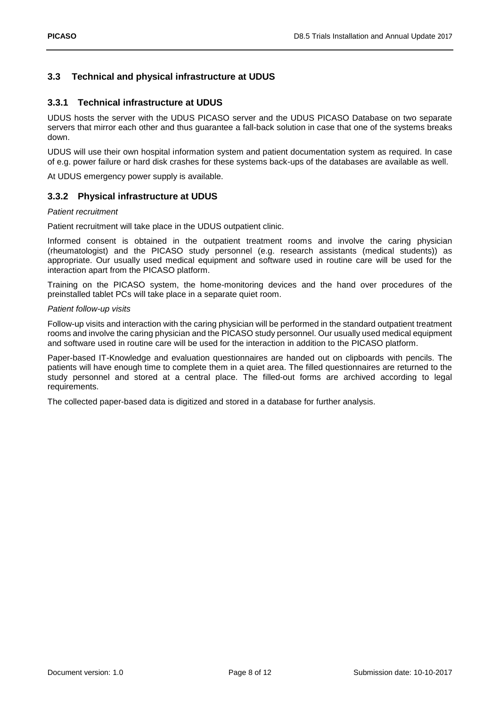#### <span id="page-7-0"></span>**3.3 Technical and physical infrastructure at UDUS**

#### <span id="page-7-1"></span>**3.3.1 Technical infrastructure at UDUS**

UDUS hosts the server with the UDUS PICASO server and the UDUS PICASO Database on two separate servers that mirror each other and thus guarantee a fall-back solution in case that one of the systems breaks down.

UDUS will use their own hospital information system and patient documentation system as required. In case of e.g. power failure or hard disk crashes for these systems back-ups of the databases are available as well.

At UDUS emergency power supply is available.

#### <span id="page-7-2"></span>**3.3.2 Physical infrastructure at UDUS**

#### *Patient recruitment*

Patient recruitment will take place in the UDUS outpatient clinic.

Informed consent is obtained in the outpatient treatment rooms and involve the caring physician (rheumatologist) and the PICASO study personnel (e.g. research assistants (medical students)) as appropriate. Our usually used medical equipment and software used in routine care will be used for the interaction apart from the PICASO platform.

Training on the PICASO system, the home-monitoring devices and the hand over procedures of the preinstalled tablet PCs will take place in a separate quiet room.

#### *Patient follow-up visits*

Follow-up visits and interaction with the caring physician will be performed in the standard outpatient treatment rooms and involve the caring physician and the PICASO study personnel. Our usually used medical equipment and software used in routine care will be used for the interaction in addition to the PICASO platform.

Paper-based IT-Knowledge and evaluation questionnaires are handed out on clipboards with pencils. The patients will have enough time to complete them in a quiet area. The filled questionnaires are returned to the study personnel and stored at a central place. The filled-out forms are archived according to legal requirements.

The collected paper-based data is digitized and stored in a database for further analysis.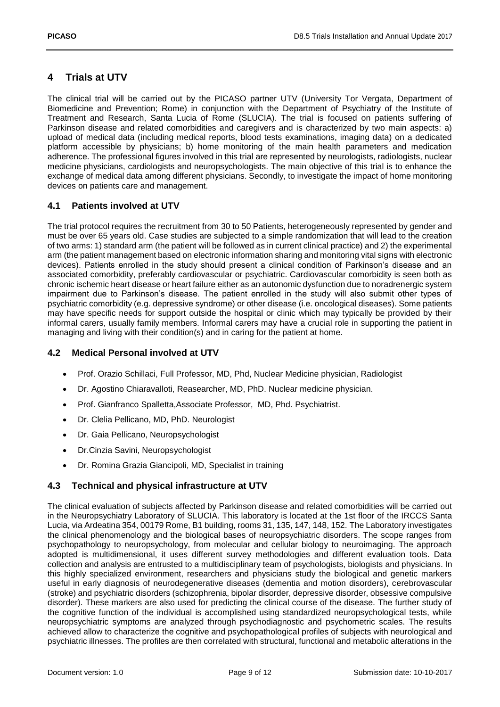# <span id="page-8-0"></span>**4 Trials at UTV**

The clinical trial will be carried out by the PICASO partner UTV (University Tor Vergata, Department of Biomedicine and Prevention; Rome) in conjunction with the Department of Psychiatry of the Institute of Treatment and Research, Santa Lucia of Rome (SLUCIA). The trial is focused on patients suffering of Parkinson disease and related comorbidities and caregivers and is characterized by two main aspects: a) upload of medical data (including medical reports, blood tests examinations, imaging data) on a dedicated platform accessible by physicians; b) home monitoring of the main health parameters and medication adherence. The professional figures involved in this trial are represented by neurologists, radiologists, nuclear medicine physicians, cardiologists and neuropsychologists. The main objective of this trial is to enhance the exchange of medical data among different physicians. Secondly, to investigate the impact of home monitoring devices on patients care and management.

## <span id="page-8-1"></span>**4.1 Patients involved at UTV**

The trial protocol requires the recruitment from 30 to 50 Patients, heterogeneously represented by gender and must be over 65 years old. Case studies are subjected to a simple randomization that will lead to the creation of two arms: 1) standard arm (the patient will be followed as in current clinical practice) and 2) the experimental arm (the patient management based on electronic information sharing and monitoring vital signs with electronic devices). Patients enrolled in the study should present a clinical condition of Parkinson's disease and an associated comorbidity, preferably cardiovascular or psychiatric. Cardiovascular comorbidity is seen both as chronic ischemic heart disease or heart failure either as an autonomic dysfunction due to noradrenergic system impairment due to Parkinson's disease. The patient enrolled in the study will also submit other types of psychiatric comorbidity (e.g. depressive syndrome) or other disease (i.e. oncological diseases). Some patients may have specific needs for support outside the hospital or clinic which may typically be provided by their informal carers, usually family members. Informal carers may have a crucial role in supporting the patient in managing and living with their condition(s) and in caring for the patient at home.

## <span id="page-8-2"></span>**4.2 Medical Personal involved at UTV**

- Prof. Orazio Schillaci, Full Professor, MD, Phd, Nuclear Medicine physician, Radiologist
- Dr. Agostino Chiaravalloti, Reasearcher, MD, PhD. Nuclear medicine physician.
- Prof. Gianfranco Spalletta,Associate Professor, MD, Phd. Psychiatrist.
- Dr. Clelia Pellicano, MD, PhD. Neurologist
- Dr. Gaia Pellicano, Neuropsychologist
- Dr.Cinzia Savini, Neuropsychologist
- Dr. Romina Grazia Giancipoli, MD, Specialist in training

### <span id="page-8-3"></span>**4.3 Technical and physical infrastructure at UTV**

The clinical evaluation of subjects affected by Parkinson disease and related comorbidities will be carried out in the Neuropsychiatry Laboratory of SLUCIA. This laboratory is located at the 1st floor of the IRCCS Santa Lucia, via Ardeatina 354, 00179 Rome, B1 building, rooms 31, 135, 147, 148, 152. The Laboratory investigates the clinical phenomenology and the biological bases of neuropsychiatric disorders. The scope ranges from psychopathology to neuropsychology, from molecular and cellular biology to neuroimaging. The approach adopted is multidimensional, it uses different survey methodologies and different evaluation tools. Data collection and analysis are entrusted to a multidisciplinary team of psychologists, biologists and physicians. In this highly specialized environment, researchers and physicians study the biological and genetic markers useful in early diagnosis of neurodegenerative diseases (dementia and motion disorders), cerebrovascular (stroke) and psychiatric disorders (schizophrenia, bipolar disorder, depressive disorder, obsessive compulsive disorder). These markers are also used for predicting the clinical course of the disease. The further study of the cognitive function of the individual is accomplished using standardized neuropsychological tests, while neuropsychiatric symptoms are analyzed through psychodiagnostic and psychometric scales. The results achieved allow to characterize the cognitive and psychopathological profiles of subjects with neurological and psychiatric illnesses. The profiles are then correlated with structural, functional and metabolic alterations in the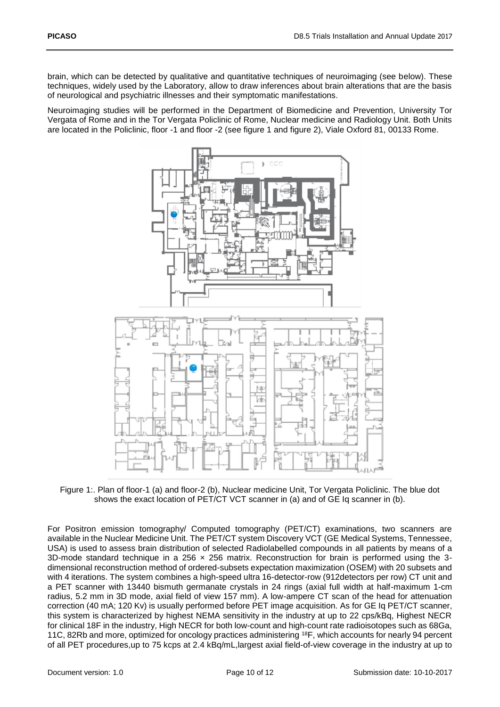brain, which can be detected by qualitative and quantitative techniques of neuroimaging (see below). These techniques, widely used by the Laboratory, allow to draw inferences about brain alterations that are the basis of neurological and psychiatric illnesses and their symptomatic manifestations.

Neuroimaging studies will be performed in the Department of Biomedicine and Prevention, University Tor Vergata of Rome and in the Tor Vergata Policlinic of Rome, Nuclear medicine and Radiology Unit. Both Units are located in the Policlinic, floor -1 and floor -2 (see figure 1 and figure 2), Viale Oxford 81, 00133 Rome.



<span id="page-9-0"></span>Figure 1:. Plan of floor-1 (a) and floor-2 (b), Nuclear medicine Unit, Tor Vergata Policlinic. The blue dot shows the exact location of PET/CT VCT scanner in (a) and of GE Iq scanner in (b).

For Positron emission tomography/ Computed tomography (PET/CT) examinations, two scanners are available in the Nuclear Medicine Unit. The PET/CT system Discovery VCT (GE Medical Systems, Tennessee, USA) is used to assess brain distribution of selected Radiolabelled compounds in all patients by means of a 3D-mode standard technique in a  $256 \times 256$  matrix. Reconstruction for brain is performed using the 3dimensional reconstruction method of ordered-subsets expectation maximization (OSEM) with 20 subsets and with 4 iterations. The system combines a high-speed ultra 16-detector-row (912detectors per row) CT unit and a PET scanner with 13440 bismuth germanate crystals in 24 rings (axial full width at half-maximum 1-cm radius, 5.2 mm in 3D mode, axial field of view 157 mm). A low-ampere CT scan of the head for attenuation correction (40 mA; 120 Kv) is usually performed before PET image acquisition. As for GE Iq PET/CT scanner, this system is characterized by highest NEMA sensitivity in the industry at up to 22 cps/kBq, Highest NECR for clinical 18F in the industry, High NECR for both low-count and high-count rate radioisotopes such as 68Ga, 11C, 82Rb and more, optimized for oncology practices administering <sup>18</sup>F, which accounts for nearly 94 percent of all PET procedures,up to 75 kcps at 2.4 kBq/mL,largest axial field-of-view coverage in the industry at up to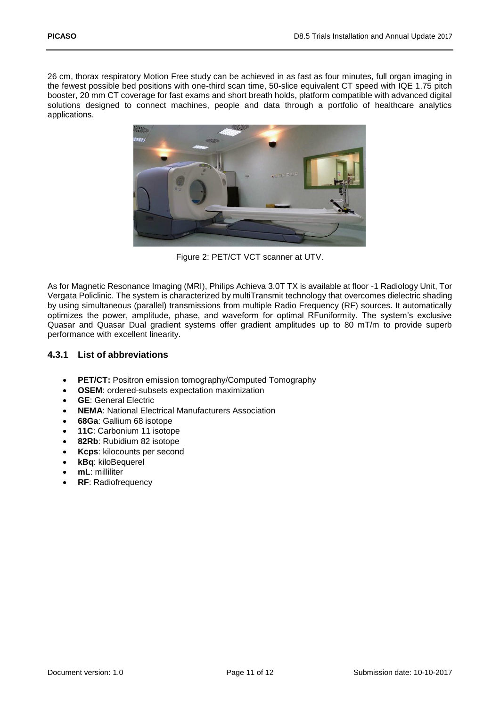26 cm, thorax respiratory Motion Free study can be achieved in as fast as four minutes, full organ imaging in the fewest possible bed positions with one-third scan time, 50-slice equivalent CT speed with IQE 1.75 pitch booster, 20 mm CT coverage for fast exams and short breath holds, platform compatible with advanced digital solutions designed to connect machines, people and data through a portfolio of healthcare analytics applications.



Figure 2: PET/CT VCT scanner at UTV.

<span id="page-10-1"></span>As for Magnetic Resonance Imaging (MRI), Philips Achieva 3.0T TX is available at floor -1 Radiology Unit, Tor Vergata Policlinic. The system is characterized by multiTransmit technology that overcomes dielectric shading by using simultaneous (parallel) transmissions from multiple Radio Frequency (RF) sources. It automatically optimizes the power, amplitude, phase, and waveform for optimal RFuniformity. The system's exclusive Quasar and Quasar Dual gradient systems offer gradient amplitudes up to 80 mT/m to provide superb performance with excellent linearity.

#### <span id="page-10-0"></span>**4.3.1 List of abbreviations**

- **PET/CT:** Positron emission tomography/Computed Tomography
- **OSEM**: ordered-subsets expectation maximization
- **GE**: General Electric
- **NEMA**: National Electrical Manufacturers Association
- **68Ga**: Gallium 68 isotope
- **11C**: Carbonium 11 isotope
- **82Rb**: Rubidium 82 isotope
- **Kcps**: kilocounts per second
- **kBq**: kiloBequerel
- **mL**: milliliter
- **RF**: Radiofrequency